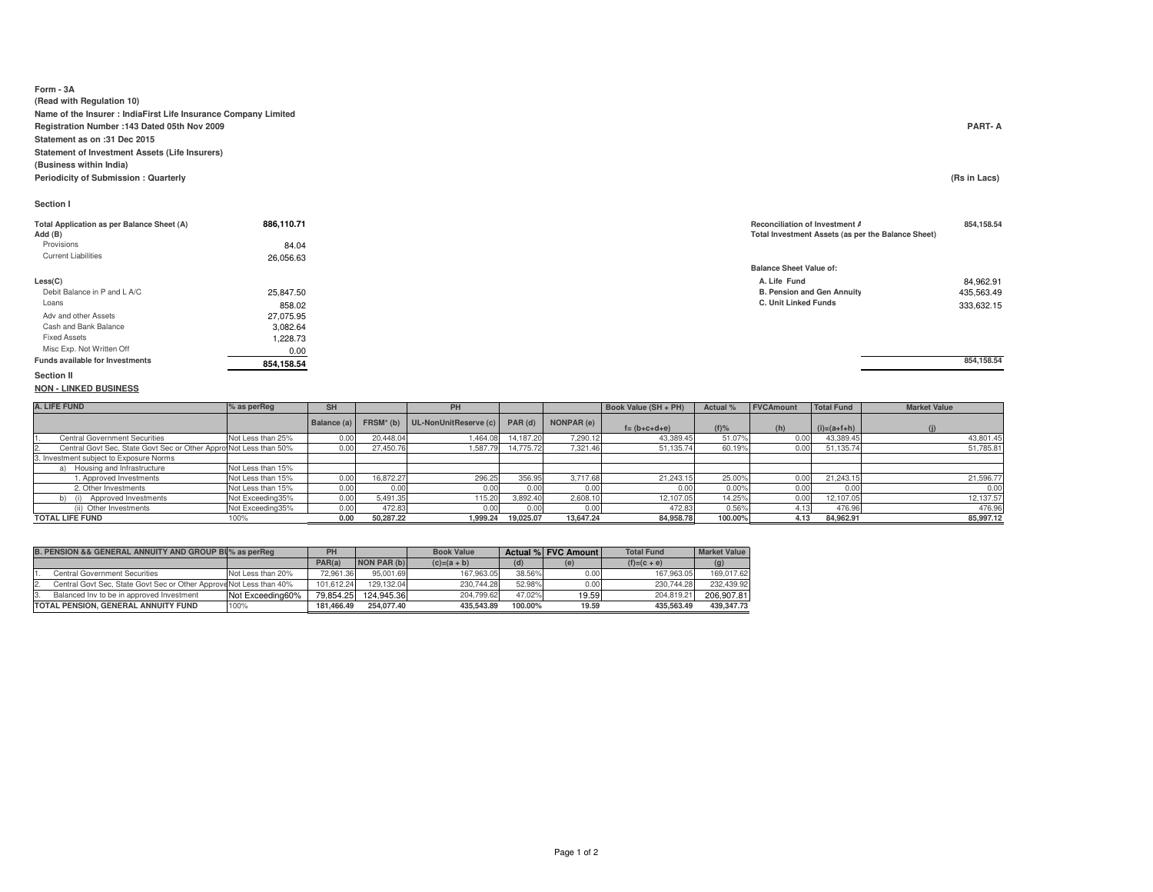### **Form - 3A (Read with Regulation 10) Name of the Insurer : IndiaFirst Life Insurance Company LimitedRegistration Number :143 Dated 05th Nov 2009 PART- AStatement as on :31 Dec 2015 Statement of Investment Assets (Life Insurers)(Business within India)**

**Periodicity of Submission : Quarterly**

**NON - LINKED BUSINESS**

## **Section I**

| Total Application as per Balance Sheet (A) | 886,110.71 | <b>Reconciliation of Invest</b><br><b>Total Investment Asset</b> |
|--------------------------------------------|------------|------------------------------------------------------------------|
| Add (B)<br>Provisions                      |            |                                                                  |
|                                            | 84.04      |                                                                  |
| <b>Current Liabilities</b>                 | 26.056.63  |                                                                  |
|                                            |            | <b>Balance Sheet Value of</b>                                    |
| Less(C)                                    |            | A. Life Fund                                                     |
| Debit Balance in P and L A/C               | 25.847.50  | B. Pension and Gen                                               |
| Loans                                      | 858.02     | C. Unit Linked Funds                                             |
| Adv and other Assets                       | 27.075.95  |                                                                  |
| Cash and Bank Balance                      | 3,082.64   |                                                                  |
| <b>Fixed Assets</b>                        | .228.73    |                                                                  |
| Misc Exp. Not Written Off                  | 0.00       |                                                                  |
| <b>Funds available for Investments</b>     | 854,158.54 |                                                                  |
| <b>Section II</b>                          |            |                                                                  |

**(Rs in Lacs)** 

### **Reconciliation of Investment Assets 854,158.54 Total Investment Assets (as per the Balance Sheet)**

|           | <b>Balance Sheet Value of:</b> |            |
|-----------|--------------------------------|------------|
|           | A. Life Fund                   | 84,962.91  |
| 25,847.50 | B. Pension and Gen Annuity     | 435,563.49 |
| 858.02    | C. Unit Linked Funds           | 333.632.15 |

**854,158.54** 

### **A. LIFE FUND % as perReg SH PHPH Book Value (SH + PH) Actual %** FVCAmount Total Fund **Balance (a) FRSM\* (b) UL-NonUnitReserve (c) PAR (d) NONPAR (e)FAR (e) f** = (**b+c+d+e**) **(f)%** (**h**)  $(i)=(a+f+h)$  **(i)**<br>7.290.12 **43.389.45 61.07%** 0.00 **43.389.45** (**j)** 1. Central Government Securities Not Less than 25% 0.00 20,448.04 1,464.08 14,187.20 7,290.12 43,389.45 43,801.45 51,785.81 Central Govt Sec, State Govt Sec or Other Approved that state for Securities (included Securities Co. 19%) 0.00 51,135.74 50.19% 0.00 51,135.74 3. Investment subject to Exposure Normsa) Housing and Infrastructure Not Less than 15%<br>1. Approved Investments Not Less than 15% Not Less than 15% 1. Approved Investments Not Less than 15% 0.00 16,872.27 296.25 356.95 3,717.68 21,243.15 25.00% 0.00 21,243.15 21,596.77 $0.00$  2. Other Investments Not Less than 15% 0.00 0.00 0.00 0.00 0.00 0.00 0.00% 0.00 0.000.00 0.00 b) (i) Approved Investments Not Exceeding35% 0.00 5,491.35 115.20 3,892.40 2,608.10 12,107.05 14.25% 0.00 12,107.05 12,137.57476.96 (ii) Other Investments Not Exceeding35% 0.00 0.00 0.00 472.83 4.5 476.96 476.96 85,997.12 **TOTAL LIFE FUNDD** 100% **0.00 50,287.22 1,999.24 19,025.07 13,647.24 84,958.78 100.00% 4.13 84,962.91 85,997.12**

| B. PENSION && GENERAL ANNUITY AND GROUP BU% as perReq               |                   | PH         |             | <b>Book Value</b> |         | Actual % FVC Amount | <b>Total Fund</b> | <b>Market Value</b> |
|---------------------------------------------------------------------|-------------------|------------|-------------|-------------------|---------|---------------------|-------------------|---------------------|
|                                                                     |                   | PAR(a)     | NON PAR (b) | $(c)=(a + b)$     |         | (e)                 | $(f)=(c + e)$     | (g)                 |
| Central Government Securities                                       | Not Less than 20% | 72.961.36  | 95.001.69   | 167.963.05        | 38.56%  | 0.00                | 167.963.05        | 169.017.62          |
| Central Govt Sec. State Govt Sec or Other Approve Not Less than 40% |                   | 101.612.24 | 129.132.04  | 230.744.28        | 52.98%  | 0.00                | 230.744.28        | 232.439.92          |
| Balanced Inv to be in approved Investment                           | Not Exceeding60%  | 79.854.25  | 124.945.36  | 204.799.62        | 47.02%  | 19.59               | 204.819.21        | 206.907.81          |
| TOTAL PENSION, GENERAL ANNUITY FUND                                 | 100%              | 181.466.49 | 254.077.40  | 435.543.89        | 100.00% | 19.59               | 435.563.49        | 439.347.73          |